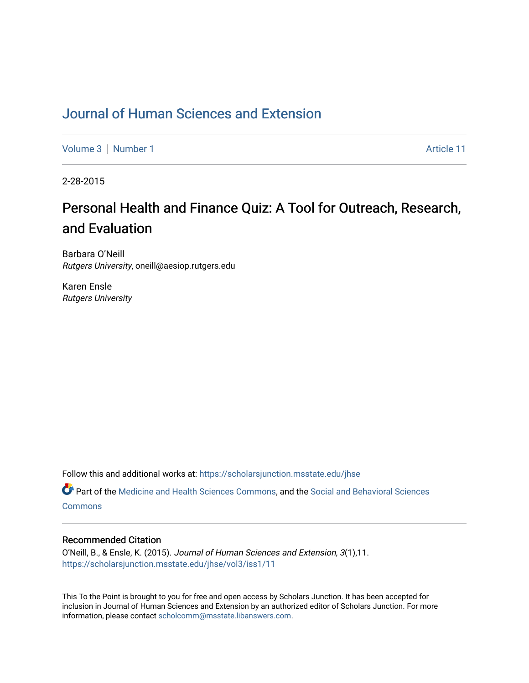## [Journal of Human Sciences and Extension](https://scholarsjunction.msstate.edu/jhse)

[Volume 3](https://scholarsjunction.msstate.edu/jhse/vol3) | [Number 1](https://scholarsjunction.msstate.edu/jhse/vol3/iss1) Article 11

2-28-2015

## Personal Health and Finance Quiz: A Tool for Outreach, Research, and Evaluation

Barbara O'Neill Rutgers University, oneill@aesiop.rutgers.edu

Karen Ensle Rutgers University

Follow this and additional works at: [https://scholarsjunction.msstate.edu/jhse](https://scholarsjunction.msstate.edu/jhse?utm_source=scholarsjunction.msstate.edu%2Fjhse%2Fvol3%2Fiss1%2F11&utm_medium=PDF&utm_campaign=PDFCoverPages)

Part of the [Medicine and Health Sciences Commons,](http://network.bepress.com/hgg/discipline/648?utm_source=scholarsjunction.msstate.edu%2Fjhse%2Fvol3%2Fiss1%2F11&utm_medium=PDF&utm_campaign=PDFCoverPages) and the [Social and Behavioral Sciences](http://network.bepress.com/hgg/discipline/316?utm_source=scholarsjunction.msstate.edu%2Fjhse%2Fvol3%2Fiss1%2F11&utm_medium=PDF&utm_campaign=PDFCoverPages) **[Commons](http://network.bepress.com/hgg/discipline/316?utm_source=scholarsjunction.msstate.edu%2Fjhse%2Fvol3%2Fiss1%2F11&utm_medium=PDF&utm_campaign=PDFCoverPages)** 

## Recommended Citation

O'Neill, B., & Ensle, K. (2015). Journal of Human Sciences and Extension, 3(1),11. [https://scholarsjunction.msstate.edu/jhse/vol3/iss1/11](https://scholarsjunction.msstate.edu/jhse/vol3/iss1/11?utm_source=scholarsjunction.msstate.edu%2Fjhse%2Fvol3%2Fiss1%2F11&utm_medium=PDF&utm_campaign=PDFCoverPages) 

This To the Point is brought to you for free and open access by Scholars Junction. It has been accepted for inclusion in Journal of Human Sciences and Extension by an authorized editor of Scholars Junction. For more information, please contact [scholcomm@msstate.libanswers.com](mailto:scholcomm@msstate.libanswers.com).